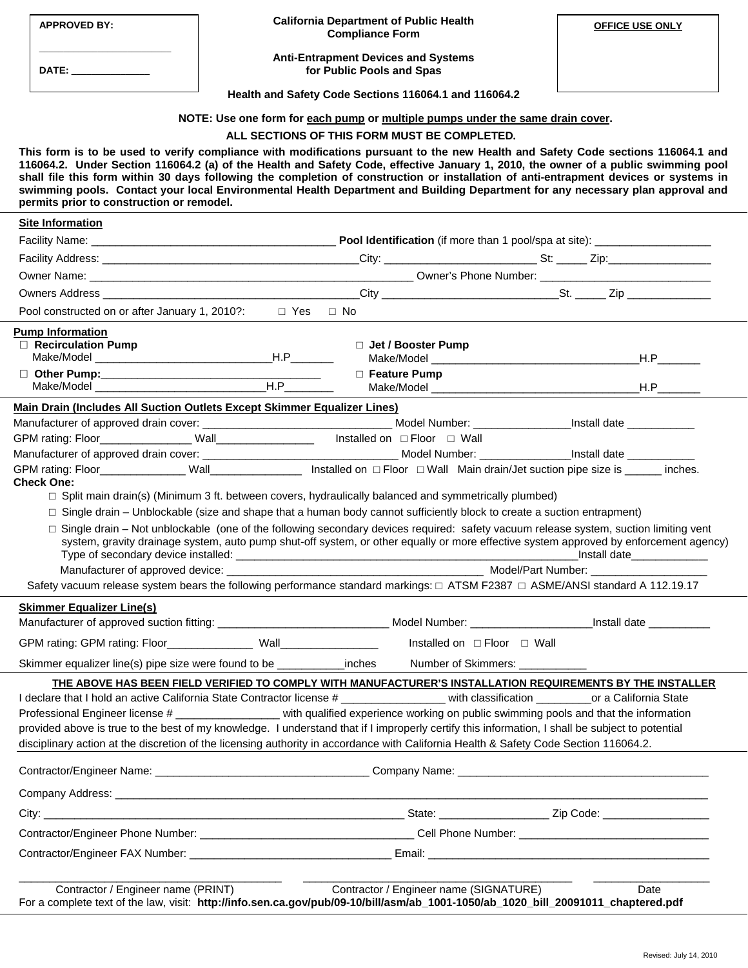|                                                                                                                                                                                                                                                                                                                                                                                                                                                                                                                                                                                                                                                                     | <b>APPROVED BY:</b>                                                                                                                                                                                                                                                                                            | <b>California Department of Public Health</b><br><b>Compliance Form</b>                                                       | <b>OFFICE USE ONLY</b> |  |
|---------------------------------------------------------------------------------------------------------------------------------------------------------------------------------------------------------------------------------------------------------------------------------------------------------------------------------------------------------------------------------------------------------------------------------------------------------------------------------------------------------------------------------------------------------------------------------------------------------------------------------------------------------------------|----------------------------------------------------------------------------------------------------------------------------------------------------------------------------------------------------------------------------------------------------------------------------------------------------------------|-------------------------------------------------------------------------------------------------------------------------------|------------------------|--|
|                                                                                                                                                                                                                                                                                                                                                                                                                                                                                                                                                                                                                                                                     | DATE: ________________                                                                                                                                                                                                                                                                                         | <b>Anti-Entrapment Devices and Systems</b><br>for Public Pools and Spas                                                       |                        |  |
|                                                                                                                                                                                                                                                                                                                                                                                                                                                                                                                                                                                                                                                                     |                                                                                                                                                                                                                                                                                                                | Health and Safety Code Sections 116064.1 and 116064.2                                                                         |                        |  |
| NOTE: Use one form for each pump or multiple pumps under the same drain cover.                                                                                                                                                                                                                                                                                                                                                                                                                                                                                                                                                                                      |                                                                                                                                                                                                                                                                                                                |                                                                                                                               |                        |  |
| ALL SECTIONS OF THIS FORM MUST BE COMPLETED.                                                                                                                                                                                                                                                                                                                                                                                                                                                                                                                                                                                                                        |                                                                                                                                                                                                                                                                                                                |                                                                                                                               |                        |  |
| This form is to be used to verify compliance with modifications pursuant to the new Health and Safety Code sections 116064.1 and<br>116064.2. Under Section 116064.2 (a) of the Health and Safety Code, effective January 1, 2010, the owner of a public swimming pool<br>shall file this form within 30 days following the completion of construction or installation of anti-entrapment devices or systems in<br>swimming pools. Contact your local Environmental Health Department and Building Department for any necessary plan approval and<br>permits prior to construction or remodel.                                                                      |                                                                                                                                                                                                                                                                                                                |                                                                                                                               |                        |  |
| <b>Site Information</b>                                                                                                                                                                                                                                                                                                                                                                                                                                                                                                                                                                                                                                             |                                                                                                                                                                                                                                                                                                                |                                                                                                                               |                        |  |
|                                                                                                                                                                                                                                                                                                                                                                                                                                                                                                                                                                                                                                                                     |                                                                                                                                                                                                                                                                                                                |                                                                                                                               |                        |  |
|                                                                                                                                                                                                                                                                                                                                                                                                                                                                                                                                                                                                                                                                     |                                                                                                                                                                                                                                                                                                                |                                                                                                                               |                        |  |
|                                                                                                                                                                                                                                                                                                                                                                                                                                                                                                                                                                                                                                                                     |                                                                                                                                                                                                                                                                                                                |                                                                                                                               |                        |  |
|                                                                                                                                                                                                                                                                                                                                                                                                                                                                                                                                                                                                                                                                     |                                                                                                                                                                                                                                                                                                                |                                                                                                                               |                        |  |
| Pool constructed on or after January 1, 2010?: □ Yes □ No                                                                                                                                                                                                                                                                                                                                                                                                                                                                                                                                                                                                           |                                                                                                                                                                                                                                                                                                                |                                                                                                                               |                        |  |
|                                                                                                                                                                                                                                                                                                                                                                                                                                                                                                                                                                                                                                                                     | <b>Pump Information</b><br>$\Box$ Recirculation Pump                                                                                                                                                                                                                                                           | $\Box$ Jet / Booster Pump                                                                                                     |                        |  |
|                                                                                                                                                                                                                                                                                                                                                                                                                                                                                                                                                                                                                                                                     |                                                                                                                                                                                                                                                                                                                | □ Feature Pump                                                                                                                |                        |  |
|                                                                                                                                                                                                                                                                                                                                                                                                                                                                                                                                                                                                                                                                     |                                                                                                                                                                                                                                                                                                                |                                                                                                                               |                        |  |
| Main Drain (Includes All Suction Outlets Except Skimmer Equalizer Lines)                                                                                                                                                                                                                                                                                                                                                                                                                                                                                                                                                                                            |                                                                                                                                                                                                                                                                                                                |                                                                                                                               |                        |  |
|                                                                                                                                                                                                                                                                                                                                                                                                                                                                                                                                                                                                                                                                     |                                                                                                                                                                                                                                                                                                                |                                                                                                                               |                        |  |
|                                                                                                                                                                                                                                                                                                                                                                                                                                                                                                                                                                                                                                                                     |                                                                                                                                                                                                                                                                                                                |                                                                                                                               |                        |  |
| GPM rating: Floor_______________Wall__________________ Installed on $\Box$ Floor $\Box$ Wall Main drain/Jet suction pipe size is ______ inches.<br><b>Check One:</b><br>$\Box$ Split main drain(s) (Minimum 3 ft. between covers, hydraulically balanced and symmetrically plumbed)<br>$\Box$ Single drain – Unblockable (size and shape that a human body cannot sufficiently block to create a suction entrapment)                                                                                                                                                                                                                                                |                                                                                                                                                                                                                                                                                                                |                                                                                                                               |                        |  |
|                                                                                                                                                                                                                                                                                                                                                                                                                                                                                                                                                                                                                                                                     | □ Single drain – Not unblockable (one of the following secondary devices required: safety vacuum release system, suction limiting vent<br>system, gravity drainage system, auto pump shut-off system, or other equally or more effective system approved by enforcement agency)<br>_Install date______________ |                                                                                                                               |                        |  |
|                                                                                                                                                                                                                                                                                                                                                                                                                                                                                                                                                                                                                                                                     |                                                                                                                                                                                                                                                                                                                |                                                                                                                               |                        |  |
|                                                                                                                                                                                                                                                                                                                                                                                                                                                                                                                                                                                                                                                                     |                                                                                                                                                                                                                                                                                                                | Safety vacuum release system bears the following performance standard markings: □ ATSM F2387 □ ASME/ANSI standard A 112.19.17 |                        |  |
|                                                                                                                                                                                                                                                                                                                                                                                                                                                                                                                                                                                                                                                                     | <b>Skimmer Equalizer Line(s)</b>                                                                                                                                                                                                                                                                               |                                                                                                                               |                        |  |
|                                                                                                                                                                                                                                                                                                                                                                                                                                                                                                                                                                                                                                                                     |                                                                                                                                                                                                                                                                                                                | Installed on □ Floor □ Wall                                                                                                   |                        |  |
|                                                                                                                                                                                                                                                                                                                                                                                                                                                                                                                                                                                                                                                                     | Skimmer equalizer line(s) pipe size were found to be _____________ inches<br>Number of Skimmers: ____________                                                                                                                                                                                                  |                                                                                                                               |                        |  |
| THE ABOVE HAS BEEN FIELD VERIFIED TO COMPLY WITH MANUFACTURER'S INSTALLATION REQUIREMENTS BY THE INSTALLER<br>I declare that I hold an active California State Contractor license # with classification or a California State<br>Professional Engineer license # __________________ with qualified experience working on public swimming pools and that the information<br>provided above is true to the best of my knowledge. I understand that if I improperly certify this information, I shall be subject to potential<br>disciplinary action at the discretion of the licensing authority in accordance with California Health & Safety Code Section 116064.2. |                                                                                                                                                                                                                                                                                                                |                                                                                                                               |                        |  |
|                                                                                                                                                                                                                                                                                                                                                                                                                                                                                                                                                                                                                                                                     |                                                                                                                                                                                                                                                                                                                |                                                                                                                               |                        |  |
|                                                                                                                                                                                                                                                                                                                                                                                                                                                                                                                                                                                                                                                                     |                                                                                                                                                                                                                                                                                                                |                                                                                                                               |                        |  |
|                                                                                                                                                                                                                                                                                                                                                                                                                                                                                                                                                                                                                                                                     |                                                                                                                                                                                                                                                                                                                |                                                                                                                               |                        |  |
|                                                                                                                                                                                                                                                                                                                                                                                                                                                                                                                                                                                                                                                                     |                                                                                                                                                                                                                                                                                                                |                                                                                                                               |                        |  |
|                                                                                                                                                                                                                                                                                                                                                                                                                                                                                                                                                                                                                                                                     |                                                                                                                                                                                                                                                                                                                |                                                                                                                               |                        |  |
|                                                                                                                                                                                                                                                                                                                                                                                                                                                                                                                                                                                                                                                                     |                                                                                                                                                                                                                                                                                                                |                                                                                                                               |                        |  |
| Contractor / Engineer name (SIGNATURE)<br>Contractor / Engineer name (PRINT)<br>Date<br>For a complete text of the law, visit: http://info.sen.ca.gov/pub/09-10/bill/asm/ab_1001-1050/ab_1020_bill_20091011_chaptered.pdf                                                                                                                                                                                                                                                                                                                                                                                                                                           |                                                                                                                                                                                                                                                                                                                |                                                                                                                               |                        |  |